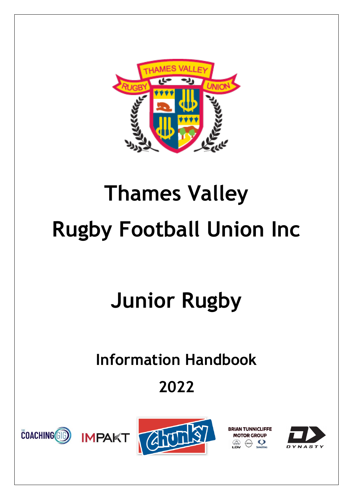

# **Thames Valley Rugby Football Union Inc**

## **Junior Rugby**

## **Information Handbook**

### **2022**







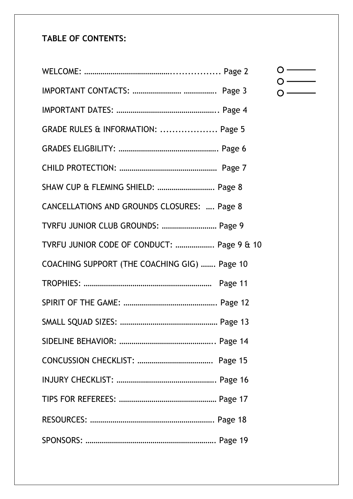### **TABLE OF CONTENTS:**

| GRADE RULES & INFORMATION:  Page 5           |
|----------------------------------------------|
|                                              |
|                                              |
| SHAW CUP & FLEMING SHIELD:  Page 8           |
| CANCELLATIONS AND GROUNDS CLOSURES:  Page 8  |
| TVRFU JUNIOR CLUB GROUNDS:  Page 9           |
| TVRFU JUNIOR CODE OF CONDUCT:  Page 9 & 10   |
| COACHING SUPPORT (THE COACHING GIG)  Page 10 |
|                                              |
|                                              |
|                                              |
|                                              |
|                                              |
|                                              |
|                                              |
|                                              |
|                                              |

### $\circ$  —  $\begin{array}{c}\n0 \\
0\n\end{array}$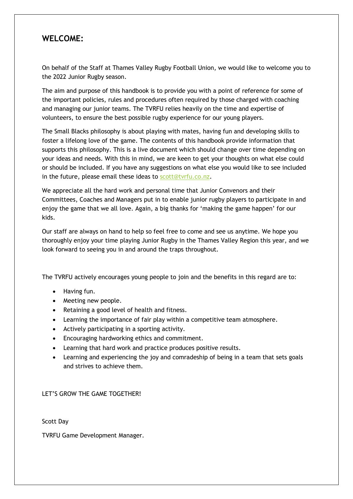#### **WELCOME:**

On behalf of the Staff at Thames Valley Rugby Football Union, we would like to welcome you to the 2022 Junior Rugby season.

The aim and purpose of this handbook is to provide you with a point of reference for some of the important policies, rules and procedures often required by those charged with coaching and managing our junior teams. The TVRFU relies heavily on the time and expertise of volunteers, to ensure the best possible rugby experience for our young players.

The Small Blacks philosophy is about playing with mates, having fun and developing skills to foster a lifelong love of the game. The contents of this handbook provide information that supports this philosophy. This is a live document which should change over time depending on your ideas and needs. With this in mind, we are keen to get your thoughts on what else could or should be included. If you have any suggestions on what else you would like to see included in the future, please email these ideas to [scott@tvrfu.co.nz.](mailto:scott@tvrfu.co.nz)

We appreciate all the hard work and personal time that Junior Convenors and their Committees, Coaches and Managers put in to enable junior rugby players to participate in and enjoy the game that we all love. Again, a big thanks for 'making the game happen' for our kids.

Our staff are always on hand to help so feel free to come and see us anytime. We hope you thoroughly enjoy your time playing Junior Rugby in the Thames Valley Region this year, and we look forward to seeing you in and around the traps throughout.

The TVRFU actively encourages young people to join and the benefits in this regard are to:

- Having fun.
- Meeting new people.
- Retaining a good level of health and fitness.
- Learning the importance of fair play within a competitive team atmosphere.
- Actively participating in a sporting activity.
- Encouraging hardworking ethics and commitment.
- Learning that hard work and practice produces positive results.
- Learning and experiencing the joy and comradeship of being in a team that sets goals and strives to achieve them.

LET'S GROW THE GAME TOGETHER!

Scott Day

TVRFU Game Development Manager.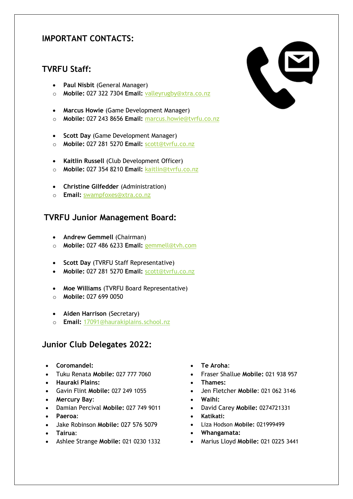#### **IMPORTANT CONTACTS:**

#### **TVRFU Staff:**

- **Paul Nisbit** (General Manager)
- o **Mobile:** 027 322 7304 **Email:** [valleyrugby@xtra.co.nz](mailto:valleyrugby@xtra.co.nz)
- **Marcus Howie** (Game Development Manager)
- o **Mobile:** 027 243 8656 **Email:** [marcus.howie@tvrfu.co.nz](mailto:marcus.howie@tvrfu.co.nz)
- **Scott Day** (Game Development Manager)
- o **Mobile:** 027 281 5270 **Email:** [scott@tvrfu.co.nz](mailto:scott@tvrfu.co.nz)
- **Kaitlin Russell** (Club Development Officer)
- o **Mobile:** 027 354 8210 **Email:** [kaitlin@tvrfu.co.nz](mailto:kaitlin@tvrfu.co.nz)
- **Christine Gilfedder** (Administration)
- o **Email:** [swampfoxes@xtra.co.nz](mailto:swampfoxes@xtra.co.nz)

#### **TVRFU Junior Management Board:**

- **Andrew Gemmell** (Chairman)
- o **Mobile:** 027 486 6233 **Email:** [gemmell@tvh.com](mailto:gemmell@tvh.com)
- **Scott Day** (TVRFU Staff Representative)
- **Mobile:** 027 281 5270 **Email:** [scott@tvrfu.co.nz](mailto:scott@tvrfu.co.nz)
- **Moe Williams** (TVRFU Board Representative)
- o **Mobile:** 027 699 0050
- **Aiden Harrison** (Secretary)
- o **Email:** [17091@haurakiplains.school.nz](mailto:17091@haurakiplains.school.nz)

#### **Junior Club Delegates 2022:**

- **Coromandel:**
- Tuku Renata **Mobile:** 027 777 7060
- **Hauraki Plains:**
- Gavin Flint **Mobile:** 027 249 1055
- **Mercury Bay**:
- Damian Percival **Mobile:** 027 749 9011
- **Paeroa**:
- Jake Robinson **Mobile:** 027 576 5079
- **Tairua**:
- Ashlee Strange **Mobile:** 021 0230 1332
- **Te Aroha**:
- Fraser Shallue **Mobile:** 021 938 957
- **Thames:**
- Jen Fletcher **Mobile**: 021 062 3146
- **Waihi:**
- David Carey **Mobile:** 0274721331
- **Katikati:**
- Liza Hodson **Mobile:** 021999499
- **Whangamata:**
- Marius Lloyd **Mobile:** 021 0225 3441

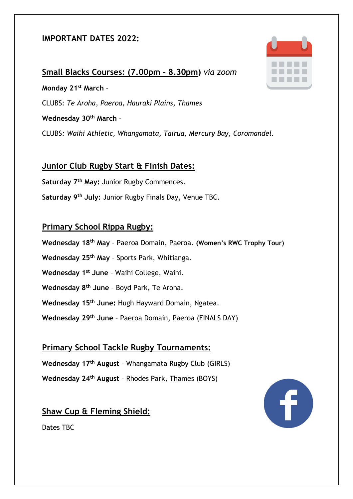#### **IMPORTANT DATES 2022:**

**Small Blacks Courses: (7.00pm – 8.30pm)** *via zoom* **Monday 21st March** – CLUBS: *Te Aroha, Paeroa, Hauraki Plains, Thames* **Wednesday 30th March** – CLUBS*: Waihi Athletic, Whangamata, Tairua, Mercury Bay, Coromandel.*

#### **Junior Club Rugby Start & Finish Dates:**

**Saturday 7 th May:** Junior Rugby Commences.

**Saturday 9 th July:** Junior Rugby Finals Day, Venue TBC.

#### **Primary School Rippa Rugby:**

- **Wednesday 18th May** Paeroa Domain, Paeroa. **(Women's RWC Trophy Tour)**
- **Wednesday 25th May** Sports Park, Whitianga.
- **Wednesday 1st June** Waihi College, Waihi.
- **Wednesday 8th June** Boyd Park, Te Aroha.
- **Wednesday 15th June:** Hugh Hayward Domain, Ngatea.
- **Wednesday 29 th June** Paeroa Domain, Paeroa (FINALS DAY)

#### **Primary School Tackle Rugby Tournaments:**

**Wednesday 17th August** – Whangamata Rugby Club (GIRLS)

**Wednesday 24th August** – Rhodes Park, Thames (BOYS)

#### **Shaw Cup & Fleming Shield:**



#### Dates TBC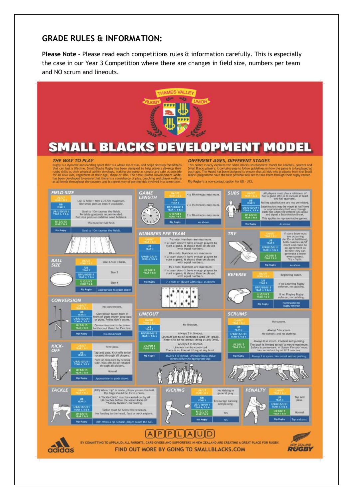#### **GRADE RULES & INFORMATION:**

**Please Note –** Please read each competitions rules & information carefully. This is especially the case in our Year 3 Competition where there are changes in field size, numbers per team and NO scrum and lineouts.

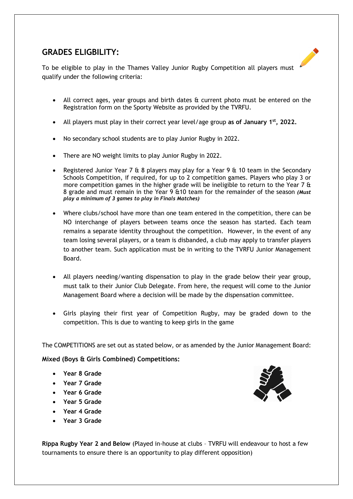#### **GRADES ELIGBILITY:**

To be eligible to play in the Thames Valley Junior Rugby Competition all players must qualify under the following criteria:

- All correct ages, year groups and birth dates & current photo must be entered on the Registration form on the Sporty Website as provided by the TVRFU.
- All players must play in their correct year level/age group **as of January 1st, 2022.**
- No secondary school students are to play Junior Rugby in 2022.
- There are NO weight limits to play Junior Rugby in 2022.
- Registered Junior Year 7  $\theta$  8 players may play for a Year 9  $\theta$  10 team in the Secondary Schools Competition, if required, for up to 2 competition games. Players who play 3 or more competition games in the higher grade will be ineligible to return to the Year 7  $\theta$ 8 grade and must remain in the Year 9 &10 team for the remainder of the season *(Must play a minimum of 3 games to play in Finals Matches)*
- Where clubs/school have more than one team entered in the competition, there can be NO interchange of players between teams once the season has started. Each team remains a separate identity throughout the competition. However, in the event of any team losing several players, or a team is disbanded, a club may apply to transfer players to another team. Such application must be in writing to the TVRFU Junior Management Board.
- All players needing/wanting dispensation to play in the grade below their year group, must talk to their Junior Club Delegate. From here, the request will come to the Junior Management Board where a decision will be made by the dispensation committee.
- Girls playing their first year of Competition Rugby, may be graded down to the competition. This is due to wanting to keep girls in the game

The COMPETITIONS are set out as stated below, or as amended by the Junior Management Board:

**Mixed (Boys & Girls Combined) Competitions:**

- **Year 8 Grade**
- **Year 7 Grade**
- **Year 6 Grade**
- **Year 5 Grade**
- **Year 4 Grade**
- **Year 3 Grade**



**Rippa Rugby Year 2 and Below** (Played in-house at clubs – TVRFU will endeavour to host a few tournaments to ensure there is an opportunity to play different opposition)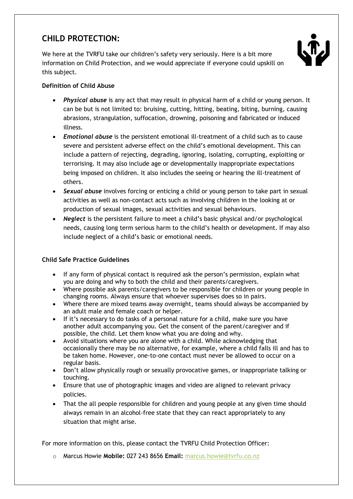#### **CHILD PROTECTION:**

We here at the TVRFU take our children's safety very seriously. Here is a bit more information on Child Protection, and we would appreciate if everyone could upskill on this subject.



#### **Definition of Child Abuse**

- *Physical abuse* is any act that may result in physical harm of a child or young person. It can be but is not limited to: bruising, cutting, hitting, beating, biting, burning, causing abrasions, strangulation, suffocation, drowning, poisoning and fabricated or induced illness.
- *Emotional abuse* is the persistent emotional ill-treatment of a child such as to cause severe and persistent adverse effect on the child's emotional development. This can include a pattern of rejecting, degrading, ignoring, isolating, corrupting, exploiting or terrorising. It may also include age or developmentally inappropriate expectations being imposed on children. It also includes the seeing or hearing the ill-treatment of others.
- *Sexual abuse* involves forcing or enticing a child or young person to take part in sexual activities as well as non-contact acts such as involving children in the looking at or production of sexual images, sexual activities and sexual behaviours.
- *Neglect* is the persistent failure to meet a child's basic physical and/or psychological needs, causing long term serious harm to the child's health or development. If may also include neglect of a child's basic or emotional needs.

#### **Child Safe Practice Guidelines**

- If any form of physical contact is required ask the person's permission, explain what you are doing and why to both the child and their parents/caregivers.
- Where possible ask parents/caregivers to be responsible for children or young people in changing rooms. Always ensure that whoever supervises does so in pairs.
- Where there are mixed teams away overnight, teams should always be accompanied by an adult male and female coach or helper.
- If it's necessary to do tasks of a personal nature for a child, make sure you have another adult accompanying you. Get the consent of the parent/caregiver and if possible, the child. Let them know what you are doing and why.
- Avoid situations where you are alone with a child. While acknowledging that occasionally there may be no alternative, for example, where a child falls ill and has to be taken home. However, one-to-one contact must never be allowed to occur on a regular basis.
- Don't allow physically rough or sexually provocative games, or inappropriate talking or touching.
- Ensure that use of photographic images and video are aligned to relevant privacy policies.
- That the all people responsible for children and young people at any given time should always remain in an alcohol-free state that they can react appropriately to any situation that might arise.

For more information on this, please contact the TVRFU Child Protection Officer:

o Marcus Howie **Mobile:** 027 243 8656 **Email:** [marcus.howie@tvrfu.co.nz](mailto:marcus.howie@tvrfu.co.nz)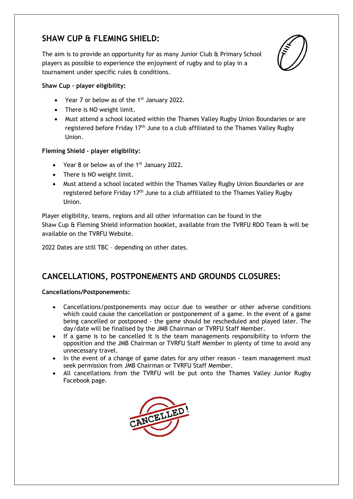#### **SHAW CUP & FLEMING SHIELD:**

The aim is to provide an opportunity for as many Junior Club & Primary School players as possible to experience the enjoyment of rugby and to play in a tournament under specific rules & conditions.



#### **Shaw Cup - player eligibility:**

- Year 7 or below as of the  $1<sup>st</sup>$  January 2022.
- There is NO weight limit.
- Must attend a school located within the Thames Valley Rugby Union Boundaries or are registered before Friday 17<sup>th</sup> June to a club affiliated to the Thames Valley Rugby Union.

#### **Fleming Shield – player eligibility:**

- Year 8 or below as of the 1<sup>st</sup> January 2022.
- There is NO weight limit.
- Must attend a school located within the Thames Valley Rugby Union Boundaries or are registered before Friday 17<sup>th</sup> June to a club affiliated to the Thames Valley Rugby Union.

Player eligibility, teams, regions and all other information can be found in the Shaw Cup & Fleming Shield information booklet, available from the TVRFU RDO Team & will be available on the TVRFU Website.

2022 Dates are still TBC – depending on other dates.

#### **CANCELLATIONS, POSTPONEMENTS AND GROUNDS CLOSURES:**

#### **Cancellations/Postponements:**

- Cancellations/postponements may occur due to weather or other adverse conditions which could cause the cancellation or postponement of a game. In the event of a game being cancelled or postponed - the game should be rescheduled and played later. The day/date will be finalised by the JMB Chairman or TVRFU Staff Member.
- If a game is to be cancelled it is the team managements responsibility to inform the opposition and the JMB Chairman or TVRFU Staff Member in plenty of time to avoid any unnecessary travel.
- In the event of a change of game dates for any other reason team management must seek permission from JMB Chairman or TVRFU Staff Member.
- All cancellations from the TVRFU will be put onto the Thames Valley Junior Rugby Facebook page.

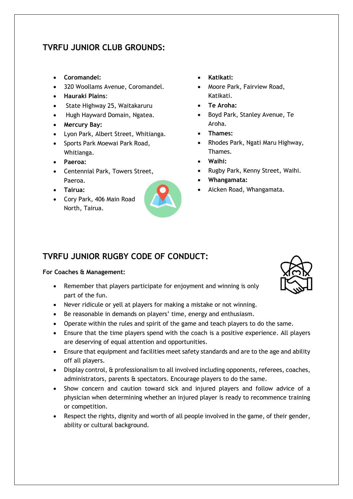#### **TVRFU JUNIOR CLUB GROUNDS:**

- **Coromandel:**
- 320 Woollams Avenue, Coromandel.
- **Hauraki Plains**:
- State Highway 25, Waitakaruru
- Hugh Hayward Domain, Ngatea.
- **Mercury Bay:**
- Lyon Park, Albert Street, Whitianga.
- Sports Park Moewai Park Road, Whitianga.
- **Paeroa:**
- Centennial Park, Towers Street, Paeroa.
- **Tairua:**
- Cory Park, 406 Main Road North, Tairua.



- **Katikati:**
- Moore Park, Fairview Road, Katikati.
- **Te Aroha:**
- Boyd Park, Stanley Avenue, Te Aroha.
- **Thames:**
- Rhodes Park, Ngati Maru Highway, Thames.
- **Waihi:**
- Rugby Park, Kenny Street, Waihi.
- **Whangamata:**
- Aicken Road, Whangamata.

#### **TVRFU JUNIOR RUGBY CODE OF CONDUCT:**

#### **For Coaches & Management:**

- Remember that players participate for enjoyment and winning is only part of the fun.
- Never ridicule or yell at players for making a mistake or not winning.
- Be reasonable in demands on players' time, energy and enthusiasm.
- Operate within the rules and spirit of the game and teach players to do the same.
- Ensure that the time players spend with the coach is a positive experience. All players are deserving of equal attention and opportunities.
- Ensure that equipment and facilities meet safety standards and are to the age and ability off all players.
- Display control, & professionalism to all involved including opponents, referees, coaches, administrators, parents & spectators. Encourage players to do the same.
- Show concern and caution toward sick and injured players and follow advice of a physician when determining whether an injured player is ready to recommence training or competition.
- Respect the rights, dignity and worth of all people involved in the game, of their gender, ability or cultural background.

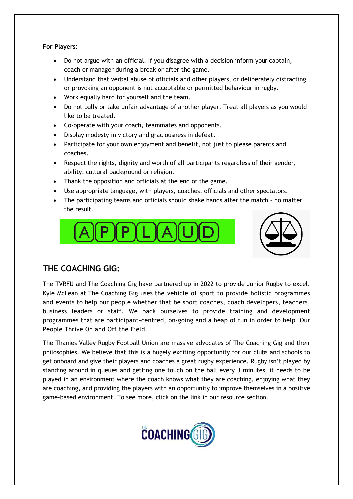**For Players:**

- Do not argue with an official. If you disagree with a decision inform your captain, coach or manager during a break or after the game.
- Understand that verbal abuse of officials and other players, or deliberately distracting or provoking an opponent is not acceptable or permitted behaviour in rugby.
- Work equally hard for yourself and the team.
- Do not bully or take unfair advantage of another player. Treat all players as you would like to be treated.
- Co-operate with your coach, teammates and opponents.
- Display modesty in victory and graciousness in defeat.
- Participate for your own enjoyment and benefit, not just to please parents and coaches.
- Respect the rights, dignity and worth of all participants regardless of their gender, ability, cultural background or religion.
- Thank the opposition and officials at the end of the game.
- Use appropriate language, with players, coaches, officials and other spectators.
- The participating teams and officials should shake hands after the match no matter the result.





#### **THE COACHING GIG:**

The TVRFU and The Coaching Gig have partnered up in 2022 to provide Junior Rugby to excel. Kyle McLean at The Coaching Gig uses the vehicle of sport to provide holistic programmes and events to help our people whether that be sport coaches, coach developers, teachers, business leaders or staff. We back ourselves to provide training and development programmes that are participant-centred, on-going and a heap of fun in order to help "Our People Thrive On and Off the Field."

The Thames Valley Rugby Football Union are massive advocates of The Coaching Gig and their philosophies. We believe that this is a hugely exciting opportunity for our clubs and schools to get onboard and give their players and coaches a great rugby experience. Rugby isn't played by standing around in queues and getting one touch on the ball every 3 minutes, it needs to be played in an environment where the coach knows what they are coaching, enjoying what they are coaching, and providing the players with an opportunity to improve themselves in a positive game-based environment. To see more, click on the link in our resource section.

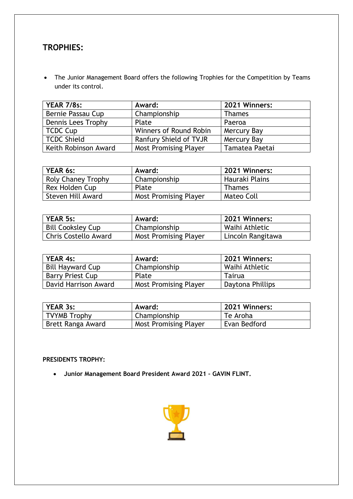#### **TROPHIES:**

• The Junior Management Board offers the following Trophies for the Competition by Teams under its control.

| <b>YEAR 7/8s:</b>    | Award:                       | 2021 Winners:  |
|----------------------|------------------------------|----------------|
| Bernie Passau Cup    | Championship                 | <b>Thames</b>  |
| Dennis Lees Trophy   | Plate                        | Paeroa         |
| TCDC Cup             | Winners of Round Robin       | Mercury Bay    |
| TCDC Shield          | Ranfury Shield of TVJR       | Mercury Bay    |
| Keith Robinson Award | <b>Most Promising Player</b> | Tamatea Paetai |

| <b>YEAR 6s:</b>           | Award:                       | 2021 Winners:  |
|---------------------------|------------------------------|----------------|
| <b>Roly Chaney Trophy</b> | Championship                 | Hauraki Plains |
| Rex Holden Cup            | Plate                        | <b>Thames</b>  |
| Steven Hill Award         | <b>Most Promising Player</b> | Mateo Coll     |

| <b>YEAR 5s:</b>             | Award:                       | 2021 Winners:     |
|-----------------------------|------------------------------|-------------------|
| <b>Bill Cooksley Cup</b>    | Championship                 | Waihi Athletic    |
| <b>Chris Costello Award</b> | <b>Most Promising Player</b> | Lincoln Rangitawa |

| <b>YEAR 4s:</b>         | Award:                       | 2021 Winners:    |
|-------------------------|------------------------------|------------------|
| <b>Bill Hayward Cup</b> | Championship                 | Waihi Athletic   |
| Barry Priest Cup        | Plate                        | Tairua           |
| David Harrison Award    | <b>Most Promising Player</b> | Daytona Phillips |

| <b>YEAR 3s:</b>     | Award:                       | 2021 Winners: |
|---------------------|------------------------------|---------------|
| <b>TVYMB Trophy</b> | Championship                 | Te Aroha      |
| Brett Ranga Award   | <b>Most Promising Player</b> | Evan Bedford  |

#### **PRESIDENTS TROPHY:**

• **Junior Management Board President Award 2021 – GAVIN FLINT.** 

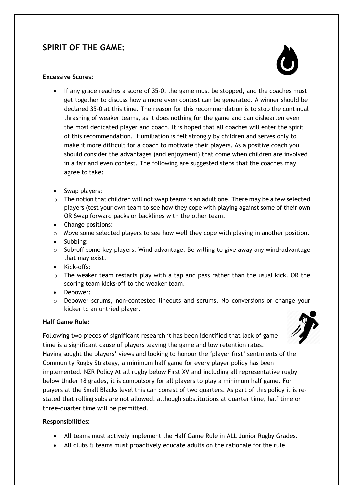#### **SPIRIT OF THE GAME:**

#### **Excessive Scores:**

- If any grade reaches a score of 35-0, the game must be stopped, and the coaches must get together to discuss how a more even contest can be generated. A winner should be declared 35-0 at this time. The reason for this recommendation is to stop the continual thrashing of weaker teams, as it does nothing for the game and can dishearten even the most dedicated player and coach. It is hoped that all coaches will enter the spirit of this recommendation. Humiliation is felt strongly by children and serves only to make it more difficult for a coach to motivate their players. As a positive coach you should consider the advantages (and enjoyment) that come when children are involved in a fair and even contest. The following are suggested steps that the coaches may agree to take:
- Swap players:
- $\circ$  The notion that children will not swap teams is an adult one. There may be a few selected players (test your own team to see how they cope with playing against some of their own OR Swap forward packs or backlines with the other team.
- Change positions:
- $\circ$  Move some selected players to see how well they cope with playing in another position.
- Subbing:
- o Sub-off some key players. Wind advantage: Be willing to give away any wind-advantage that may exist.
- Kick-offs:
- o The weaker team restarts play with a tap and pass rather than the usual kick. OR the scoring team kicks-off to the weaker team.
- Depower:
- $\circ$  Depower scrums, non-contested lineouts and scrums. No conversions or change your kicker to an untried player.

#### **Half Game Rule:**

Following two pieces of significant research it has been identified that lack of game time is a significant cause of players leaving the game and low retention rates. Having sought the players' views and looking to honour the 'player first' sentiments of the Community Rugby Strategy, a minimum half game for every player policy has been implemented. NZR Policy At all rugby below First XV and including all representative rugby below Under 18 grades, it is compulsory for all players to play a minimum half game. For players at the Small Blacks level this can consist of two quarters. As part of this policy it is restated that rolling subs are not allowed, although substitutions at quarter time, half time or three-quarter time will be permitted.

#### **Responsibilities:**

- All teams must actively implement the Half Game Rule in ALL Junior Rugby Grades.
- All clubs & teams must proactively educate adults on the rationale for the rule.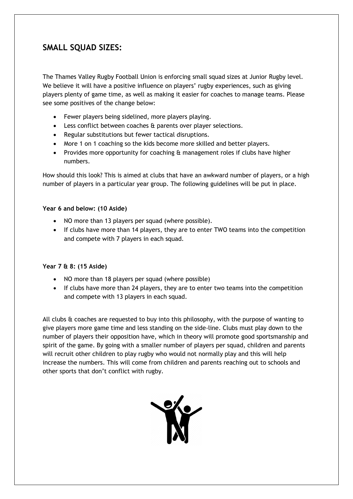#### **SMALL SQUAD SIZES:**

The Thames Valley Rugby Football Union is enforcing small squad sizes at Junior Rugby level. We believe it will have a positive influence on players' rugby experiences, such as giving players plenty of game time, as well as making it easier for coaches to manage teams. Please see some positives of the change below:

- Fewer players being sidelined, more players playing.
- Less conflict between coaches & parents over player selections.
- Regular substitutions but fewer tactical disruptions.
- More 1 on 1 coaching so the kids become more skilled and better players.
- Provides more opportunity for coaching & management roles if clubs have higher numbers.

How should this look? This is aimed at clubs that have an awkward number of players, or a high number of players in a particular year group. The following guidelines will be put in place.

#### **Year 6 and below: (10 Aside)**

- NO more than 13 players per squad (where possible).
- If clubs have more than 14 players, they are to enter TWO teams into the competition and compete with 7 players in each squad.

#### **Year 7 & 8: (15 Aside)**

- NO more than 18 players per squad (where possible)
- If clubs have more than 24 players, they are to enter two teams into the competition and compete with 13 players in each squad.

All clubs & coaches are requested to buy into this philosophy, with the purpose of wanting to give players more game time and less standing on the side-line. Clubs must play down to the number of players their opposition have, which in theory will promote good sportsmanship and spirit of the game. By going with a smaller number of players per squad, children and parents will recruit other children to play rugby who would not normally play and this will help increase the numbers. This will come from children and parents reaching out to schools and other sports that don't conflict with rugby.

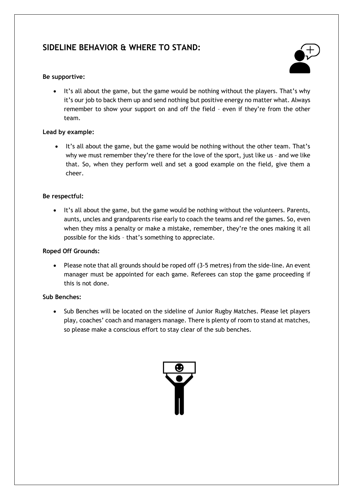#### **SIDELINE BEHAVIOR & WHERE TO STAND:**

#### **Be supportive:**



It's all about the game, but the game would be nothing without the players. That's why it's our job to back them up and send nothing but positive energy no matter what. Always remember to show your support on and off the field – even if they're from the other team.

#### **Lead by example:**

• It's all about the game, but the game would be nothing without the other team. That's why we must remember they're there for the love of the sport, just like us - and we like that. So, when they perform well and set a good example on the field, give them a cheer.

#### **Be respectful:**

• It's all about the game, but the game would be nothing without the volunteers. Parents, aunts, uncles and grandparents rise early to coach the teams and ref the games. So, even when they miss a penalty or make a mistake, remember, they're the ones making it all possible for the kids – that's something to appreciate.

#### **Roped Off Grounds:**

• Please note that all grounds should be roped off (3-5 metres) from the side-line. An event manager must be appointed for each game. Referees can stop the game proceeding if this is not done.

#### **Sub Benches:**

• Sub Benches will be located on the sideline of Junior Rugby Matches. Please let players play, coaches' coach and managers manage. There is plenty of room to stand at matches, so please make a conscious effort to stay clear of the sub benches.

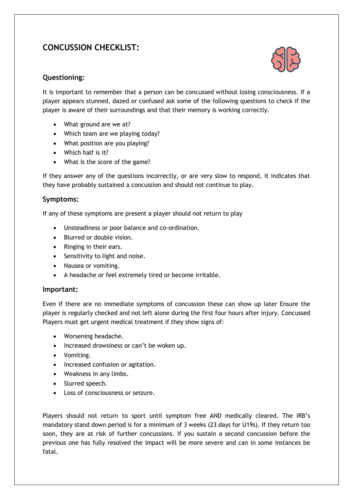#### **CONCUSSION CHECKLIST:**



#### **Questioning:**

It is important to remember that a person can be concussed without losing consciousness. If a player appears stunned, dazed or confused ask some of the following questions to check if the player is aware of their surroundings and that their memory is working correctly.

- What ground are we at?
- Which team are we playing today?
- What position are you playing?
- Which half is it?
- What is the score of the game?

If they answer any of the questions incorrectly, or are very slow to respond, it indicates that they have probably sustained a concussion and should not continue to play.

#### **Symptoms:**

If any of these symptoms are present a player should not return to play

- Unsteadiness or poor balance and co-ordination.
- Blurred or double vision.
- Ringing in their ears.
- Sensitivity to light and noise.
- Nausea or vomiting.
- A headache or feel extremely tired or become irritable.

#### **Important:**

Even if there are no immediate symptoms of concussion these can show up later Ensure the player is regularly checked and not left alone during the first four hours after injury. Concussed Players must get urgent medical treatment if they show signs of:

- Worsening headache.
- Increased drowsiness or can't be woken up.
- Vomiting.
- Increased confusion or agitation.
- Weakness in any limbs.
- Slurred speech.
- Loss of consciousness or seizure.

Players should not return to sport until symptom free AND medically cleared. The IRB's mandatory stand down period is for a minimum of 3 weeks (23 days for U19s). If they return too soon, they are at risk of further concussions. If you sustain a second concussion before the previous one has fully resolved the impact will be more severe and can in some instances be fatal.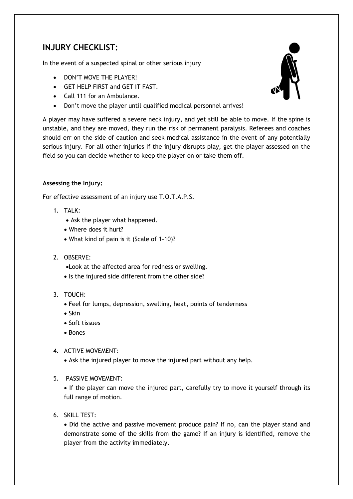#### **INJURY CHECKLIST:**

In the event of a suspected spinal or other serious injury

- DON'T MOVE THE PLAYER!
- GET HELP FIRST and GET IT FAST.
- Call 111 for an Ambulance.
- Don't move the player until qualified medical personnel arrives!



A player may have suffered a severe neck injury, and yet still be able to move. If the spine is unstable, and they are moved, they run the risk of permanent paralysis. Referees and coaches should err on the side of caution and seek medical assistance in the event of any potentially serious injury. For all other injuries If the injury disrupts play, get the player assessed on the field so you can decide whether to keep the player on or take them off.

#### **Assessing the Injury:**

For effective assessment of an injury use T.O.T.A.P.S.

- 1. TALK:
	- Ask the player what happened.
	- Where does it hurt?
	- What kind of pain is it (Scale of 1-10)?
- 2. OBSERVE:
	- •Look at the affected area for redness or swelling.
	- Is the injured side different from the other side?
- 3. TOUCH:
	- Feel for lumps, depression, swelling, heat, points of tenderness
	- Skin
	- Soft tissues
	- Bones
- 4. ACTIVE MOVEMENT:
	- Ask the injured player to move the injured part without any help.
- 5. PASSIVE MOVEMENT:

• If the player can move the injured part, carefully try to move it yourself through its full range of motion.

6. SKILL TEST:

• Did the active and passive movement produce pain? If no, can the player stand and demonstrate some of the skills from the game? If an injury is identified, remove the player from the activity immediately.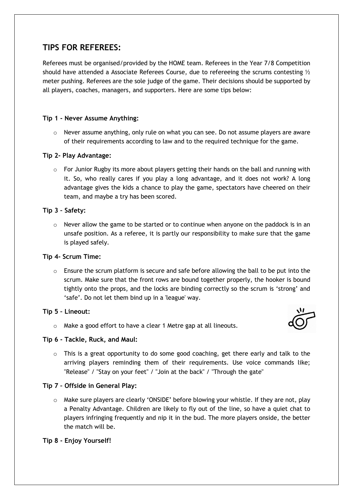#### **TIPS FOR REFEREES:**

Referees must be organised/provided by the HOME team. Referees in the Year 7/8 Competition should have attended a Associate Referees Course, due to refereeing the scrums contesting  $\mathcal{V}_2$ meter pushing. Referees are the sole judge of the game. Their decisions should be supported by all players, coaches, managers, and supporters. Here are some tips below:

#### **Tip 1 - Never Assume Anything:**

 $\circ$  Never assume anything, only rule on what you can see. Do not assume players are aware of their requirements according to law and to the required technique for the game.

#### **Tip 2- Play Advantage:**

 $\circ$  For Junior Rugby its more about players getting their hands on the ball and running with it. So, who really cares if you play a long advantage, and it does not work? A long advantage gives the kids a chance to play the game, spectators have cheered on their team, and maybe a try has been scored.

#### **Tip 3 – Safety:**

 $\circ$  Never allow the game to be started or to continue when anyone on the paddock is in an unsafe position. As a referee, it is partly our responsibility to make sure that the game is played safely.

#### **Tip 4- Scrum Time:**

 $\circ$  Ensure the scrum platform is secure and safe before allowing the ball to be put into the scrum. Make sure that the front rows are bound together properly, the hooker is bound tightly onto the props, and the locks are binding correctly so the scrum is 'strong' and 'safe'. Do not let them bind up in a 'league' way.

#### **Tip 5 – Lineout:**

o Make a good effort to have a clear 1 Metre gap at all lineouts.



#### **Tip 6 - Tackle, Ruck, and Maul:**

 $\circ$  This is a great opportunity to do some good coaching, get there early and talk to the arriving players reminding them of their requirements. Use voice commands like; "Release" / "Stay on your feet" / "Join at the back" / "Through the gate"

#### **Tip 7 – Offside in General Play:**

o Make sure players are clearly 'ONSIDE' before blowing your whistle. If they are not, play a Penalty Advantage. Children are likely to fly out of the line, so have a quiet chat to players infringing frequently and nip it in the bud. The more players onside, the better the match will be.

#### **Tip 8 - Enjoy Yourself!**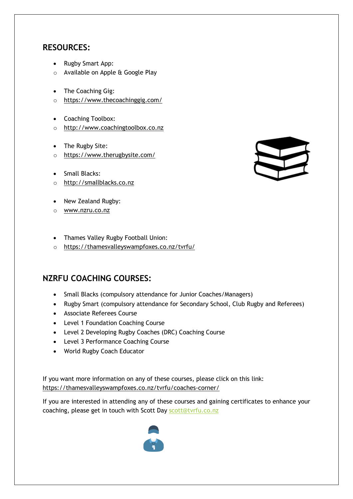#### **RESOURCES:**

- Rugby Smart App:
- o Available on Apple & Google Play
- The Coaching Gig:
- o https://www.thecoachinggig.com/
- Coaching Toolbox:
- o [http://www.coachingtoolbox.co.nz](http://www.coachingtoolbox.co.nz/)
- The Rugby Site:
- o <https://www.therugbysite.com/>
- Small Blacks:
- o [http://smallblacks.co.nz](http://smallblacks.co.nz/)
- New Zealand Rugby:
- o [www.nzru.co.nz](http://www.nzru.co.nz/)
- Thames Valley Rugby Football Union:
- o https://thamesvalleyswampfoxes.co.nz/tvrfu/

#### **NZRFU COACHING COURSES:**

- Small Blacks (compulsory attendance for Junior Coaches/Managers)
- Rugby Smart (compulsory attendance for Secondary School, Club Rugby and Referees)
- Associate Referees Course
- Level 1 Foundation Coaching Course
- Level 2 Developing Rugby Coaches (DRC) Coaching Course
- Level 3 Performance Coaching Course
- World Rugby Coach Educator

If you want more information on any of these courses, please click on this link: <https://thamesvalleyswampfoxes.co.nz/tvrfu/coaches-corner/>

If you are interested in attending any of these courses and gaining certificates to enhance your coaching, please get in touch with Scott Day [scott@tvrfu.co.nz](mailto:scott@tvrfu.co.nz)